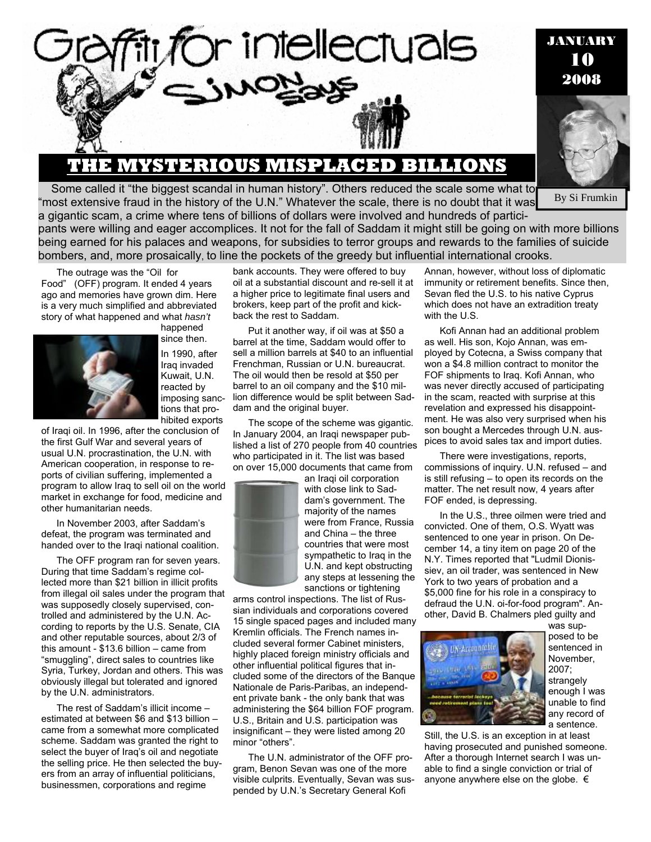

## **THE MYSTERIOUS MISPLACED BILLIONS**

Some called it "the biggest scandal in human history". Others reduced the scale some what to "most extensive fraud in the history of the U.N." Whatever the scale, there is no doubt that it was

*JANUARY* 10 2008

**By Si Frumkin** 

a gigantic scam, a crime where tens of billions of dollars were involved and hundreds of participants were willing and eager accomplices. It not for the fall of Saddam it might still be going on with more billions being earned for his palaces and weapons, for subsidies to terror groups and rewards to the families of suicide bombers, and, more prosaically, to line the pockets of the greedy but influential international crooks.

The outrage was the "Oil for Food" (OFF) program. It ended 4 years ago and memories have grown dim. Here is a very much simplified and abbreviated story of what happened and what *hasn't* happened



since then. In 1990, after Iraq invaded Kuwait, U.N. reacted by imposing sanctions that prohibited exports

of Iraqi oil. In 1996, after the conclusion of the first Gulf War and several years of usual U.N. procrastination, the U.N. with American cooperation, in response to reports of civilian suffering, implemented a program to allow Iraq to sell oil on the world market in exchange for food, medicine and other humanitarian needs.

In November 2003, after Saddam's defeat, the program was terminated and handed over to the Iraqi national coalition.

The OFF program ran for seven years. During that time Saddam's regime collected more than \$21 billion in illicit profits from illegal oil sales under the program that was supposedly closely supervised, controlled and administered by the U.N. According to reports by the U.S. Senate, CIA and other reputable sources, about 2/3 of this amount - \$13.6 billion – came from "smuggling", direct sales to countries like Syria, Turkey, Jordan and others. This was obviously illegal but tolerated and ignored by the U.N. administrators.

The rest of Saddam's illicit income – estimated at between \$6 and \$13 billion – came from a somewhat more complicated scheme. Saddam was granted the right to select the buyer of Iraq's oil and negotiate the selling price. He then selected the buyers from an array of influential politicians, businessmen, corporations and regime

bank accounts. They were offered to buy oil at a substantial discount and re-sell it at a higher price to legitimate final users and brokers, keep part of the profit and kickback the rest to Saddam.

Put it another way, if oil was at \$50 a barrel at the time, Saddam would offer to sell a million barrels at \$40 to an influential Frenchman, Russian or U.N. bureaucrat. The oil would then be resold at \$50 per barrel to an oil company and the \$10 million difference would be split between Saddam and the original buyer.

The scope of the scheme was gigantic. In January 2004, an Iraqi newspaper published a list of 270 people from 40 countries who participated in it. The list was based on over 15,000 documents that came from



an Iraqi oil corporation with close link to Saddam's government. The majority of the names were from France, Russia and China – the three countries that were most sympathetic to Iraq in the U.N. and kept obstructing any steps at lessening the sanctions or tightening

arms control inspections. The list of Russian individuals and corporations covered 15 single spaced pages and included many Kremlin officials. The French names included several former Cabinet ministers, highly placed foreign ministry officials and other influential political figures that included some of the directors of the Banque Nationale de Paris-Paribas, an independent private bank - the only bank that was administering the \$64 billion FOF program. U.S., Britain and U.S. participation was insignificant – they were listed among 20 minor "others".

The U.N. administrator of the OFF program, Benon Sevan was one of the more visible culprits. Eventually, Sevan was suspended by U.N.'s Secretary General Kofi

Annan, however, without loss of diplomatic immunity or retirement benefits. Since then, Sevan fled the U.S. to his native Cyprus which does not have an extradition treaty with the U.S.

Kofi Annan had an additional problem as well. His son, Kojo Annan, was employed by Cotecna, a Swiss company that won a \$4.8 million contract to monitor the FOF shipments to Iraq. Kofi Annan, who was never directly accused of participating in the scam, reacted with surprise at this revelation and expressed his disappointment. He was also very surprised when his son bought a Mercedes through U.N. auspices to avoid sales tax and import duties.

There were investigations, reports, commissions of inquiry. U.N. refused – and is still refusing – to open its records on the matter. The net result now, 4 years after FOF ended, is depressing.

In the U.S., three oilmen were tried and convicted. One of them, O.S. Wyatt was sentenced to one year in prison. On December 14, a tiny item on page 20 of the N.Y. Times reported that "Ludmil Dionissiev, an oil trader, was sentenced in New York to two years of probation and a \$5,000 fine for his role in a conspiracy to defraud the U.N. oi-for-food program". Another, David B. Chalmers pled guilty and



was supposed to be sentenced in November, 2007; strangely enough I was unable to find any record of a sentence.

Still, the U.S. is an exception in at least having prosecuted and punished someone. After a thorough Internet search I was unable to find a single conviction or trial of anyone anywhere else on the globe.  $\epsilon$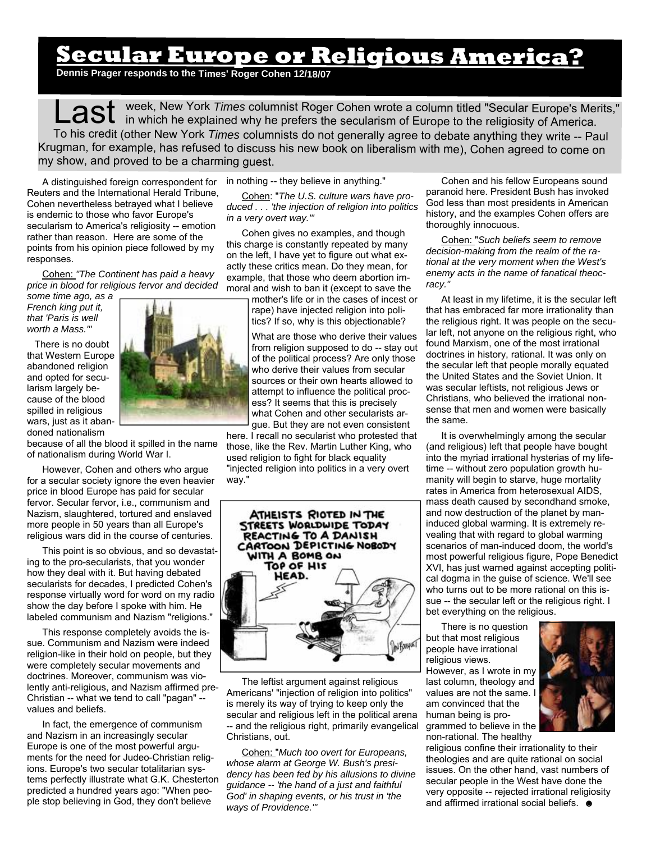## **Secular Europe or Religious America?**

**Dennis Prager responds to the Times' Roger Cohen 12/18/07**

Last week, New York *Times* columnist Roger Cohen wrote a column titled "Secular Europe's Merits,"<br>Last in which he explained why he prefers the secularism of Europe to the religiosity of America. To his credit (other New York *Times* columnists do not generally agree to debate anything they write -- Paul Krugman, for example, has refused to discuss his new book on liberalism with me), Cohen agreed to come on my show, and proved to be <sup>a</sup> charming guest.

A distinguished foreign correspondent for Reuters and the International Herald Tribune, Cohen nevertheless betrayed what I believe is endemic to those who favor Europe's secularism to America's religiosity -- emotion rather than reason. Here are some of the points from his opinion piece followed by my responses.

Cohen: *"The Continent has paid a heavy price in blood for religious fervor and decided* 

*some time ago, as a French king put it, that 'Paris is well worth a Mass.'"* 

There is no doubt that Western Europe abandoned religion and opted for secularism largely because of the blood spilled in religious wars, just as it abandoned nationalism



because of all the blood it spilled in the name of nationalism during World War I.

However, Cohen and others who argue for a secular society ignore the even heavier price in blood Europe has paid for secular fervor. Secular fervor, i.e., communism and Nazism, slaughtered, tortured and enslaved more people in 50 years than all Europe's religious wars did in the course of centuries.

This point is so obvious, and so devastating to the pro-secularists, that you wonder how they deal with it. But having debated secularists for decades, I predicted Cohen's response virtually word for word on my radio show the day before I spoke with him. He labeled communism and Nazism "religions."

This response completely avoids the issue. Communism and Nazism were indeed religion-like in their hold on people, but they were completely secular movements and doctrines. Moreover, communism was violently anti-religious, and Nazism affirmed pre-Christian -- what we tend to call "pagan" - values and beliefs.

In fact, the emergence of communism and Nazism in an increasingly secular Europe is one of the most powerful arguments for the need for Judeo-Christian religions. Europe's two secular totalitarian systems perfectly illustrate what G.K. Chesterton predicted a hundred years ago: "When people stop believing in God, they don't believe

in nothing -- they believe in anything."

Cohen: "*The U.S. culture wars have produced . . . 'the injection of religion into politics in a very overt way.'"* 

Cohen gives no examples, and though this charge is constantly repeated by many on the left, I have yet to figure out what exactly these critics mean. Do they mean, for example, that those who deem abortion immoral and wish to ban it (except to save the

mother's life or in the cases of incest or rape) have injected religion into politics? If so, why is this objectionable?

What are those who derive their values from religion supposed to do -- stay out of the political process? Are only those who derive their values from secular sources or their own hearts allowed to attempt to influence the political process? It seems that this is precisely what Cohen and other secularists argue. But they are not even consistent

here. I recall no secularist who protested that those, like the Rev. Martin Luther King, who used religion to fight for black equality "injected religion into politics in a very overt way."



The leftist argument against religious Americans' "injection of religion into politics" is merely its way of trying to keep only the secular and religious left in the political arena -- and the religious right, primarily evangelical Christians, out.

Cohen: "*Much too overt for Europeans, whose alarm at George W. Bush's presidency has been fed by his allusions to divine guidance -- 'the hand of a just and faithful God' in shaping events, or his trust in 'the ways of Providence.'"* 

Cohen and his fellow Europeans sound paranoid here. President Bush has invoked God less than most presidents in American history, and the examples Cohen offers are thoroughly innocuous.

Cohen: "*Such beliefs seem to remove decision-making from the realm of the rational at the very moment when the West's enemy acts in the name of fanatical theocracy."* 

At least in my lifetime, it is the secular left that has embraced far more irrationality than the religious right. It was people on the secular left, not anyone on the religious right, who found Marxism, one of the most irrational doctrines in history, rational. It was only on the secular left that people morally equated the United States and the Soviet Union. It was secular leftists, not religious Jews or Christians, who believed the irrational nonsense that men and women were basically the same.

It is overwhelmingly among the secular (and religious) left that people have bought into the myriad irrational hysterias of my lifetime -- without zero population growth humanity will begin to starve, huge mortality rates in America from heterosexual AIDS, mass death caused by secondhand smoke, and now destruction of the planet by maninduced global warming. It is extremely revealing that with regard to global warming scenarios of man-induced doom, the world's most powerful religious figure, Pope Benedict XVI, has just warned against accepting political dogma in the guise of science. We'll see who turns out to be more rational on this issue -- the secular left or the religious right. I bet everything on the religious.

There is no question but that most religious people have irrational religious views. However, as I wrote in my last column, theology and values are not the same. I am convinced that the human being is programmed to believe in the non-rational. The healthy



religious confine their irrationality to their theologies and are quite rational on social issues. On the other hand, vast numbers of secular people in the West have done the very opposite -- rejected irrational religiosity and affirmed irrational social beliefs.  $\bullet$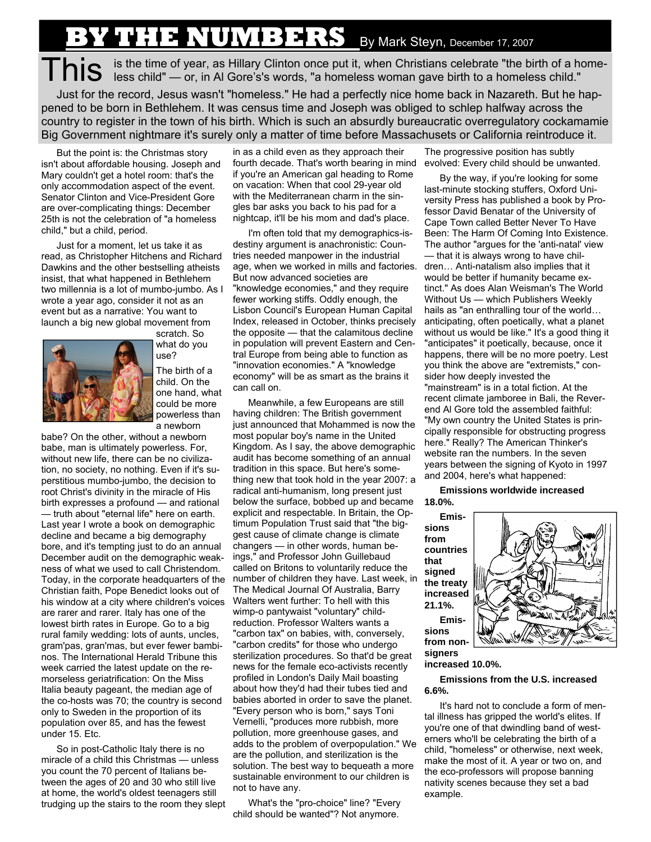## **Y THE NUMBERS** By Mark Steyn, December 17, 2007

This is the time of year, as Hillary Clinton once put it, when Christians celebrate "the birth of a home-<br>
IS is the time of year, as Hillary Clinton once put it, when Christians celebrate "the birth of a homeless child."

Just for the record, Jesus wasn't "homeless." He had a perfectly nice home back in Nazareth. But he happened to be born in Bethlehem. It was census time and Joseph was obliged to schlep halfway across the country to register in the town of his birth. Which is such an absurdly bureaucratic overregulatory cockamamie Big Government nightmare it's surely only a matter of time before Massachusets or California reintroduce it.

But the point is: the Christmas story isn't about affordable housing. Joseph and Mary couldn't get a hotel room: that's the only accommodation aspect of the event. Senator Clinton and Vice-President Gore are over-complicating things: December 25th is not the celebration of "a homeless child," but a child, period.

Just for a moment, let us take it as read, as Christopher Hitchens and Richard Dawkins and the other bestselling atheists insist, that what happened in Bethlehem two millennia is a lot of mumbo-jumbo. As I wrote a year ago, consider it not as an event but as a narrative: You want to launch a big new global movement from



scratch. So what do you use? The birth of a child. On the one hand, what could be more powerless than a newborn

babe? On the other, without a newborn babe, man is ultimately powerless. For, without new life, there can be no civilization, no society, no nothing. Even if it's superstitious mumbo-jumbo, the decision to root Christ's divinity in the miracle of His birth expresses a profound — and rational — truth about "eternal life" here on earth. Last year I wrote a book on demographic decline and became a big demography bore, and it's tempting just to do an annual December audit on the demographic weakness of what we used to call Christendom. Today, in the corporate headquarters of the Christian faith, Pope Benedict looks out of his window at a city where children's voices are rarer and rarer. Italy has one of the lowest birth rates in Europe. Go to a big rural family wedding: lots of aunts, uncles, gram'pas, gran'mas, but ever fewer bambinos. The International Herald Tribune this week carried the latest update on the remorseless geriatrification: On the Miss Italia beauty pageant, the median age of the co-hosts was 70; the country is second only to Sweden in the proportion of its population over 85, and has the fewest under 15. Etc.

So in post-Catholic Italy there is no miracle of a child this Christmas — unless you count the 70 percent of Italians between the ages of 20 and 30 who still live at home, the world's oldest teenagers still trudging up the stairs to the room they slept

in as a child even as they approach their fourth decade. That's worth bearing in mind if you're an American gal heading to Rome on vacation: When that cool 29-year old with the Mediterranean charm in the singles bar asks you back to his pad for a nightcap, it'll be his mom and dad's place.

I'm often told that my demographics-isdestiny argument is anachronistic: Countries needed manpower in the industrial age, when we worked in mills and factories. But now advanced societies are "knowledge economies," and they require fewer working stiffs. Oddly enough, the Lisbon Council's European Human Capital Index, released in October, thinks precisely the opposite — that the calamitous decline in population will prevent Eastern and Central Europe from being able to function as "innovation economies." A "knowledge economy" will be as smart as the brains it can call on.

Meanwhile, a few Europeans are still having children: The British government just announced that Mohammed is now the most popular boy's name in the United Kingdom. As I say, the above demographic audit has become something of an annual tradition in this space. But here's something new that took hold in the year 2007: a radical anti-humanism, long present just below the surface, bobbed up and became explicit and respectable. In Britain, the Optimum Population Trust said that "the biggest cause of climate change is climate changers — in other words, human beings," and Professor John Guillebaud called on Britons to voluntarily reduce the number of children they have. Last week, in The Medical Journal Of Australia, Barry Walters went further: To hell with this wimp-o pantywaist "voluntary" childreduction. Professor Walters wants a "carbon tax" on babies, with, conversely, "carbon credits" for those who undergo sterilization procedures. So that'd be great news for the female eco-activists recently profiled in London's Daily Mail boasting about how they'd had their tubes tied and babies aborted in order to save the planet. "Every person who is born," says Toni Vernelli, "produces more rubbish, more pollution, more greenhouse gases, and adds to the problem of overpopulation." We are the pollution, and sterilization is the solution. The best way to bequeath a more sustainable environment to our children is not to have any.

What's the "pro-choice" line? "Every child should be wanted"? Not anymore.

The progressive position has subtly evolved: Every child should be unwanted.

By the way, if you're looking for some last-minute stocking stuffers, Oxford University Press has published a book by Professor David Benatar of the University of Cape Town called Better Never To Have Been: The Harm Of Coming Into Existence. The author "argues for the 'anti-natal' view — that it is always wrong to have children… Anti-natalism also implies that it would be better if humanity became extinct." As does Alan Weisman's The World Without Us — which Publishers Weekly hails as "an enthralling tour of the world… anticipating, often poetically, what a planet without us would be like." It's a good thing it "anticipates" it poetically, because, once it happens, there will be no more poetry. Lest you think the above are "extremists," consider how deeply invested the "mainstream" is in a total fiction. At the recent climate jamboree in Bali, the Reverend Al Gore told the assembled faithful: "My own country the United States is principally responsible for obstructing progress here." Really? The American Thinker's website ran the numbers. In the seven years between the signing of Kyoto in 1997 and 2004, here's what happened:

**Emissions worldwide increased 18.0%.** 

**sions from countries that signed the treaty increased 21.1%.** 

**sions** 



**increased 10.0%.** 

**Emissions from the U.S. increased 6.6%.** 

It's hard not to conclude a form of mental illness has gripped the world's elites. If you're one of that dwindling band of westerners who'll be celebrating the birth of a child, "homeless" or otherwise, next week, make the most of it. A year or two on, and the eco-professors will propose banning nativity scenes because they set a bad example.